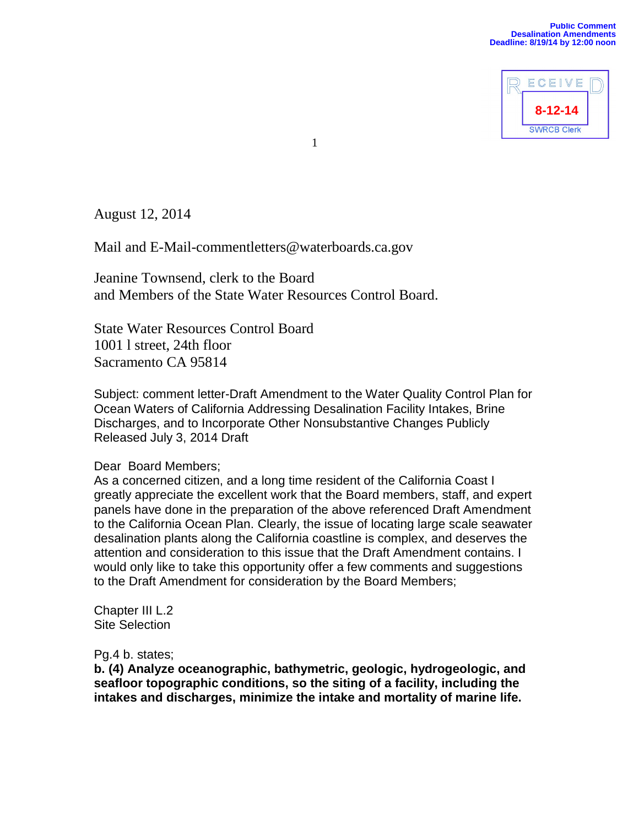

August 12, 2014

Mail and E-Mail-commentletters@waterboards.ca.gov

Jeanine Townsend, clerk to the Board and Members of the State Water Resources Control Board.

State Water Resources Control Board 1001 l street, 24th floor Sacramento CA 95814

1

Subject: comment letter-Draft Amendment to the Water Quality Control Plan for Ocean Waters of California Addressing Desalination Facility Intakes, Brine Discharges, and to Incorporate Other Nonsubstantive Changes Publicly Released July 3, 2014 Draft

## Dear Board Members;

As a concerned citizen, and a long time resident of the California Coast I greatly appreciate the excellent work that the Board members, staff, and expert panels have done in the preparation of the above referenced Draft Amendment to the California Ocean Plan. Clearly, the issue of locating large scale seawater desalination plants along the California coastline is complex, and deserves the attention and consideration to this issue that the Draft Amendment contains. I would only like to take this opportunity offer a few comments and suggestions to the Draft Amendment for consideration by the Board Members;

Chapter III L.2 Site Selection

Pg.4 b. states;

**b. (4) Analyze oceanographic, bathymetric, geologic, hydrogeologic, and seafloor topographic conditions, so the siting of a facility, including the intakes and discharges, minimize the intake and mortality of marine life.**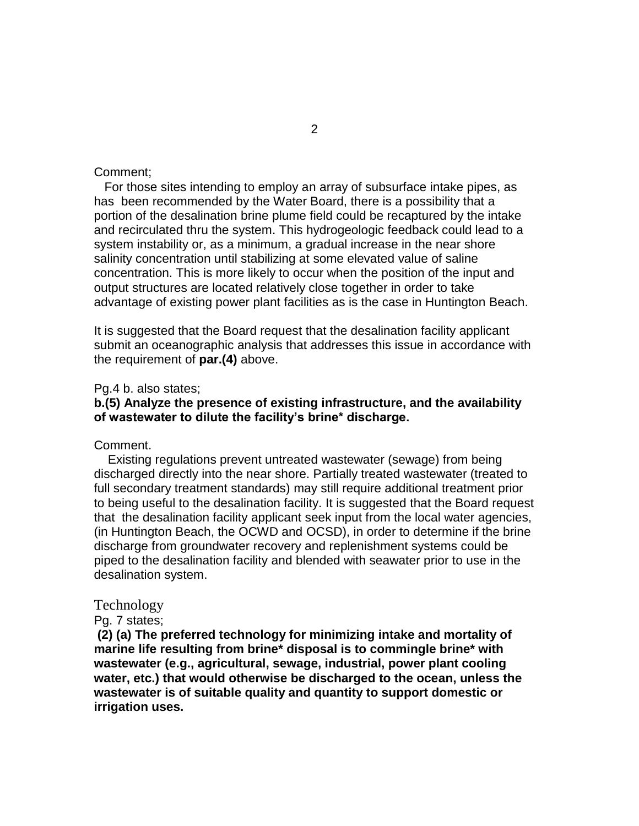### Comment;

 For those sites intending to employ an array of subsurface intake pipes, as has been recommended by the Water Board, there is a possibility that a portion of the desalination brine plume field could be recaptured by the intake and recirculated thru the system. This hydrogeologic feedback could lead to a system instability or, as a minimum, a gradual increase in the near shore salinity concentration until stabilizing at some elevated value of saline concentration. This is more likely to occur when the position of the input and output structures are located relatively close together in order to take advantage of existing power plant facilities as is the case in Huntington Beach.

It is suggested that the Board request that the desalination facility applicant submit an oceanographic analysis that addresses this issue in accordance with the requirement of **par.(4)** above.

#### Pg.4 b. also states;

## **b.(5) Analyze the presence of existing infrastructure, and the availability of wastewater to dilute the facility's brine\* discharge.**

### Comment.

 Existing regulations prevent untreated wastewater (sewage) from being discharged directly into the near shore. Partially treated wastewater (treated to full secondary treatment standards) may still require additional treatment prior to being useful to the desalination facility. It is suggested that the Board request that the desalination facility applicant seek input from the local water agencies, (in Huntington Beach, the OCWD and OCSD), in order to determine if the brine discharge from groundwater recovery and replenishment systems could be piped to the desalination facility and blended with seawater prior to use in the desalination system.

# Technology

## Pg. 7 states;

**(2) (a) The preferred technology for minimizing intake and mortality of marine life resulting from brine\* disposal is to commingle brine\* with wastewater (e.g., agricultural, sewage, industrial, power plant cooling water, etc.) that would otherwise be discharged to the ocean, unless the wastewater is of suitable quality and quantity to support domestic or irrigation uses.**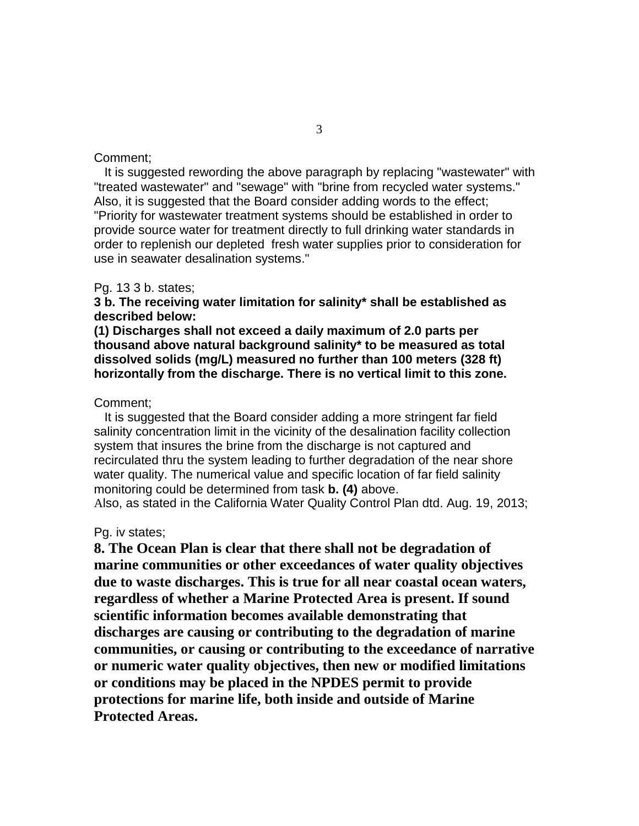### Comment;

 It is suggested rewording the above paragraph by replacing "wastewater" with "treated wastewater" and "sewage" with "brine from recycled water systems." Also, it is suggested that the Board consider adding words to the effect; "Priority for wastewater treatment systems should be established in order to provide source water for treatment directly to full drinking water standards in order to replenish our depleted fresh water supplies prior to consideration for use in seawater desalination systems."

#### Pg. 13 3 b. states;

## **3 b. The receiving water limitation for salinity\* shall be established as described below:**

**(1) Discharges shall not exceed a daily maximum of 2.0 parts per thousand above natural background salinity\* to be measured as total dissolved solids (mg/L) measured no further than 100 meters (328 ft) horizontally from the discharge. There is no vertical limit to this zone.** 

### Comment;

 It is suggested that the Board consider adding a more stringent far field salinity concentration limit in the vicinity of the desalination facility collection system that insures the brine from the discharge is not captured and recirculated thru the system leading to further degradation of the near shore water quality. The numerical value and specific location of far field salinity monitoring could be determined from task **b. (4)** above.

Also, as stated in the California Water Quality Control Plan dtd. Aug. 19, 2013;

## Pg. iv states;

**8. The Ocean Plan is clear that there shall not be degradation of marine communities or other exceedances of water quality objectives due to waste discharges. This is true for all near coastal ocean waters, regardless of whether a Marine Protected Area is present. If sound scientific information becomes available demonstrating that discharges are causing or contributing to the degradation of marine communities, or causing or contributing to the exceedance of narrative or numeric water quality objectives, then new or modified limitations or conditions may be placed in the NPDES permit to provide protections for marine life, both inside and outside of Marine Protected Areas.**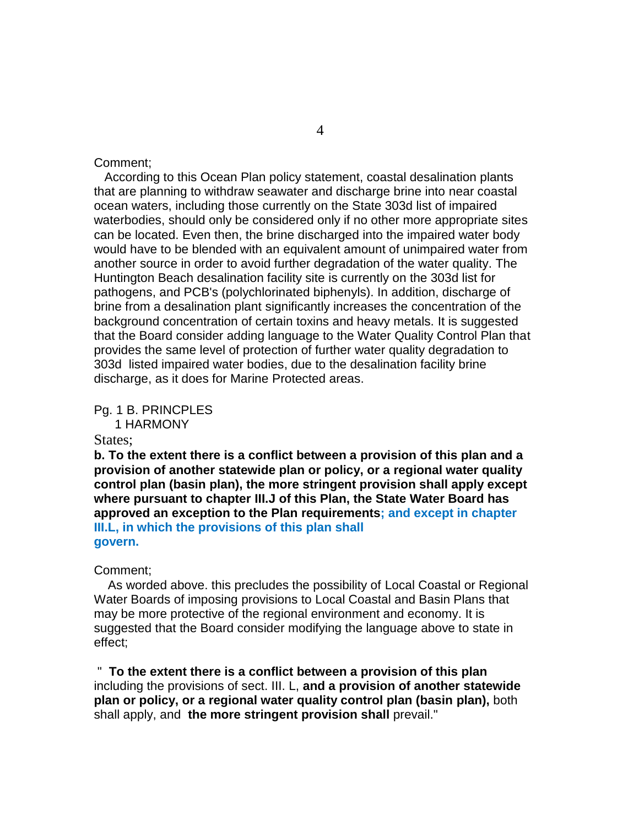## Comment;

 According to this Ocean Plan policy statement, coastal desalination plants that are planning to withdraw seawater and discharge brine into near coastal ocean waters, including those currently on the State 303d list of impaired waterbodies, should only be considered only if no other more appropriate sites can be located. Even then, the brine discharged into the impaired water body would have to be blended with an equivalent amount of unimpaired water from another source in order to avoid further degradation of the water quality. The Huntington Beach desalination facility site is currently on the 303d list for pathogens, and PCB's (polychlorinated biphenyls). In addition, discharge of brine from a desalination plant significantly increases the concentration of the background concentration of certain toxins and heavy metals. It is suggested that the Board consider adding language to the Water Quality Control Plan that provides the same level of protection of further water quality degradation to 303d listed impaired water bodies, due to the desalination facility brine discharge, as it does for Marine Protected areas.

Pg. 1 B. PRINCPLES 1 HARMONY

#### States:

**b. To the extent there is a conflict between a provision of this plan and a provision of another statewide plan or policy, or a regional water quality control plan (basin plan), the more stringent provision shall apply except where pursuant to chapter III.J of this Plan, the State Water Board has approved an exception to the Plan requirements; and except in chapter III.L, in which the provisions of this plan shall govern.**

#### Comment;

 As worded above. this precludes the possibility of Local Coastal or Regional Water Boards of imposing provisions to Local Coastal and Basin Plans that may be more protective of the regional environment and economy. It is suggested that the Board consider modifying the language above to state in effect;

" **To the extent there is a conflict between a provision of this plan** including the provisions of sect. III. L, **and a provision of another statewide plan or policy, or a regional water quality control plan (basin plan),** both shall apply, and **the more stringent provision shall** prevail."